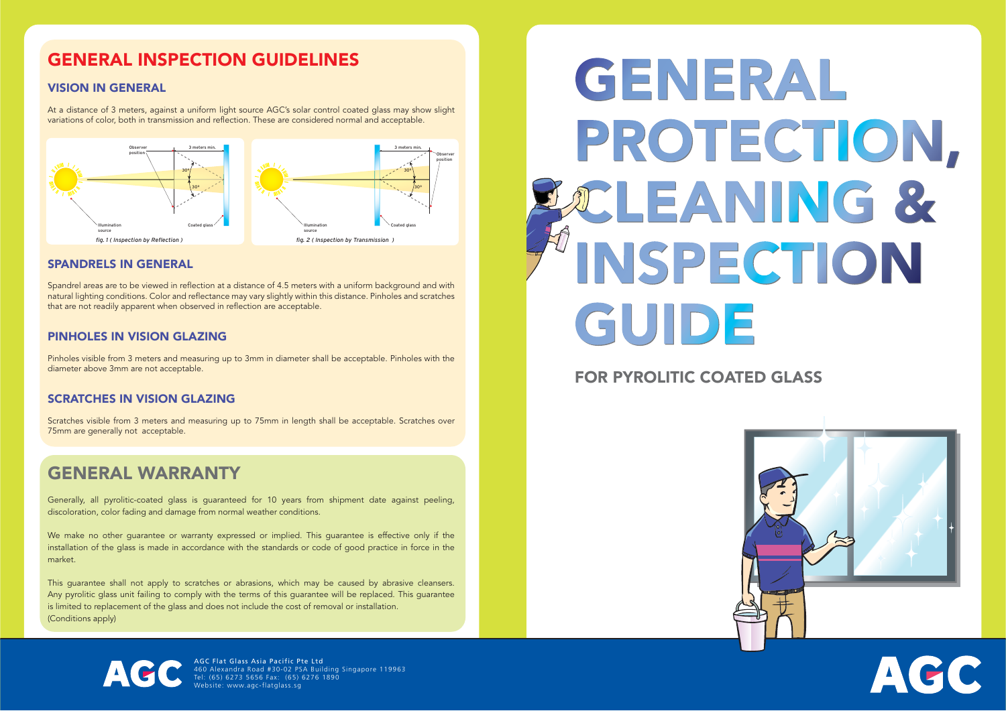AGC Flat Glass Asia Pacific Pte Ltd 460 Alexandra Road #30-02 PSA Building Singapore 119963 Tel: (65) 6273 5656 Fax: (65) 6276 1890 Website: www.agc-flatglass.sg

# GENERAL INSPECTION GUIDELINES

#### VISION IN GENERAL

At a distance of 3 meters, against a uniform light source AGC's solar control coated glass may show slight variations of color, both in transmission and reflection. These are considered normal and acceptable.

#### SPANDRELS IN GENERAL

Spandrel areas are to be viewed in reflection at a distance of 4.5 meters with a uniform background and with natural lighting conditions. Color and reflectance may vary slightly within this distance. Pinholes and scratches that are not readily apparent when observed in reflection are acceptable.

We make no other guarantee or warranty expressed or implied. This guarantee is effective only if the installation of the glass is made in accordance with the standards or code of good practice in force in the market.

#### PINHOLES IN VISION GLAZING

Pinholes visible from 3 meters and measuring up to 3mm in diameter shall be acceptable. Pinholes with the diameter above 3mm are not acceptable.

#### SCRATCHES IN VISION GLAZING

Scratches visible from 3 meters and measuring up to 75mm in length shall be acceptable. Scratches over 75mm are generally not acceptable.

# GENERAL WARRANTY

Generally, all pyrolitic-coated glass is guaranteed for 10 years from shipment date against peeling, discoloration, color fading and damage from normal weather conditions.

This guarantee shall not apply to scratches or abrasions, which may be caused by abrasive cleansers. Any pyrolitic glass unit failing to comply with the terms of this guarantee will be replaced. This guarantee is limited to replacement of the glass and does not include the cost of removal or installation. (Conditions apply)

# GENERAL PROTECTION, POLEANING & INSPECTION GUIDE

# FOR PYROLITIC COATED GLASS